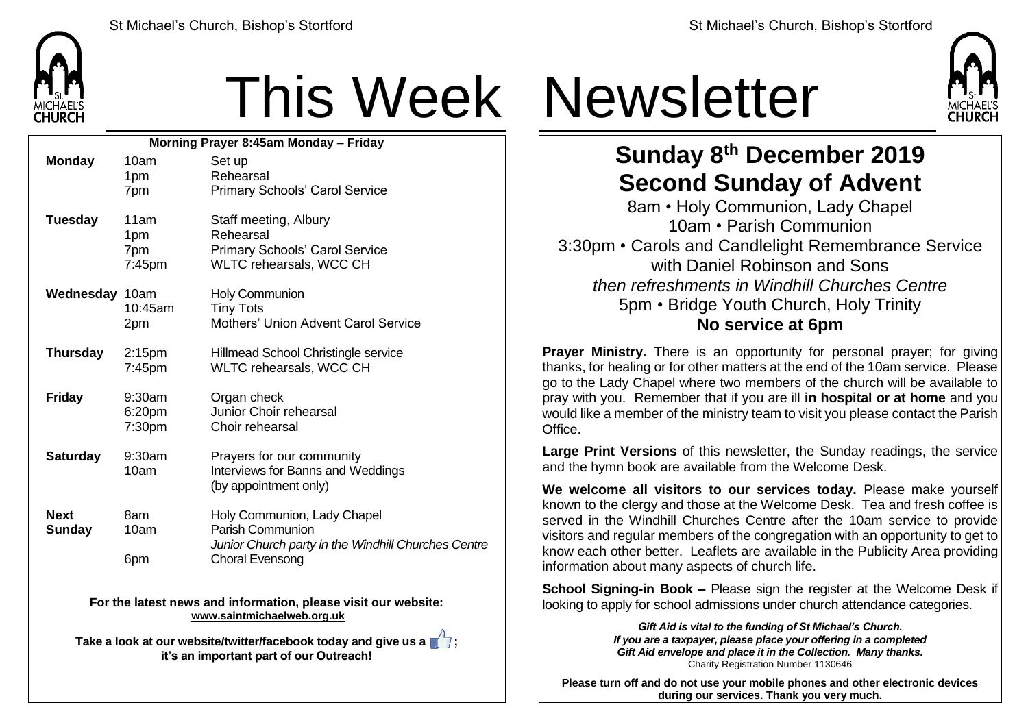

## This Week Newsletter

| Morning Prayer 8:45am Monday - Friday |                                 |                                                                                                                                         |  |  |
|---------------------------------------|---------------------------------|-----------------------------------------------------------------------------------------------------------------------------------------|--|--|
| <b>Monday</b>                         | 10am<br>1pm<br>7pm              | Set up<br>Rehearsal<br>Primary Schools' Carol Service                                                                                   |  |  |
| <b>Tuesday</b>                        | 11am<br>1pm<br>7pm<br>7:45pm    | Staff meeting, Albury<br>Rehearsal<br>Primary Schools' Carol Service<br>WLTC rehearsals, WCC CH                                         |  |  |
| Wednesday 10am                        | 10:45am<br>2pm                  | <b>Holy Communion</b><br><b>Tiny Tots</b><br><b>Mothers' Union Advent Carol Service</b>                                                 |  |  |
| <b>Thursday</b>                       | 2:15 <sub>pm</sub><br>$7:45$ pm | Hillmead School Christingle service<br><b>WLTC rehearsals, WCC CH</b>                                                                   |  |  |
| <b>Friday</b>                         | 9:30am<br>6:20pm<br>7:30pm      | Organ check<br>Junior Choir rehearsal<br>Choir rehearsal                                                                                |  |  |
| <b>Saturday</b>                       | 9:30am<br>10am                  | Prayers for our community<br>Interviews for Banns and Weddings<br>(by appointment only)                                                 |  |  |
| <b>Next</b><br><b>Sunday</b>          | 8am<br>10am<br>6pm              | Holy Communion, Lady Chapel<br><b>Parish Communion</b><br>Junior Church party in the Windhill Churches Centre<br><b>Choral Evensong</b> |  |  |
|                                       | Farika lata                     | al información enlaces cializa<br>الفالد والمعادي مردان                                                                                 |  |  |

**For the latest news and information, please visit our website: [www.saintmichaelweb.org.uk](http://www.saintmichaelweb.org.uk/)**

**Take a look at our website/twitter/facebook today and give us a**  $\blacksquare$ **: it's an important part of our Outreach!**



## **Sunday 8 th December 2019 Second Sunday of Advent**

8am • Holy Communion, Lady Chapel 10am • Parish Communion 3:30pm • Carols and Candlelight Remembrance Service with Daniel Robinson and Sons *then refreshments in Windhill Churches Centre* 5pm • Bridge Youth Church, Holy Trinity **No service at 6pm**

**Prayer Ministry.** There is an opportunity for personal prayer; for giving thanks, for healing or for other matters at the end of the 10am service. Please ao to the Lady Chapel where two members of the church will be available to pray with you. Remember that if you are ill **in hospital or at home** and you would like a member of the ministry team to visit you please contact the Parish Office.

**Large Print Versions** of this newsletter, the Sunday readings, the service and the hymn book are available from the Welcome Desk.

**We welcome all visitors to our services today.** Please make yourself known to the clergy and those at the Welcome Desk. Tea and fresh coffee is served in the Windhill Churches Centre after the 10am service to provide visitors and regular members of the congregation with an opportunity to get to know each other better. Leaflets are available in the Publicity Area providing information about many aspects of church life.

**School Signing-in Book –** Please sign the register at the Welcome Desk if looking to apply for school admissions under church attendance categories.

> *Gift Aid is vital to the funding of St Michael's Church. If you are a taxpayer, please place your offering in a completed Gift Aid envelope and place it in the Collection. Many thanks.* Charity Registration Number 1130646

**Please turn off and do not use your mobile phones and other electronic devices during our services. Thank you very much.**